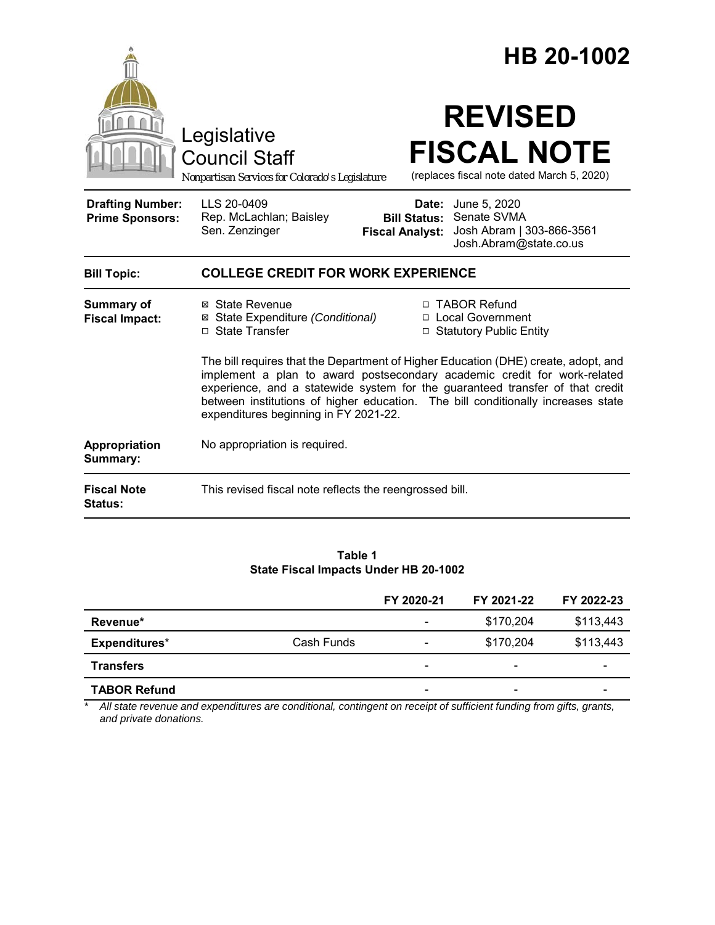| <b>REVISED</b><br>Legislative<br><b>FISCAL NOTE</b><br><b>Council Staff</b><br>(replaces fiscal note dated March 5, 2020)<br>Nonpartisan Services for Colorado's Legislature                                                                                      | HB 20-1002                                                                                                                                                                                                                                                                                                                          |  |  |  |
|-------------------------------------------------------------------------------------------------------------------------------------------------------------------------------------------------------------------------------------------------------------------|-------------------------------------------------------------------------------------------------------------------------------------------------------------------------------------------------------------------------------------------------------------------------------------------------------------------------------------|--|--|--|
|                                                                                                                                                                                                                                                                   |                                                                                                                                                                                                                                                                                                                                     |  |  |  |
| LLS 20-0409<br><b>Drafting Number:</b><br><b>Date:</b> June 5, 2020<br>Senate SVMA<br>Rep. McLachlan; Baisley<br><b>Prime Sponsors:</b><br><b>Bill Status:</b><br>Sen. Zenzinger<br>Josh Abram   303-866-3561<br><b>Fiscal Analyst:</b><br>Josh.Abram@state.co.us |                                                                                                                                                                                                                                                                                                                                     |  |  |  |
| <b>COLLEGE CREDIT FOR WORK EXPERIENCE</b><br><b>Bill Topic:</b>                                                                                                                                                                                                   |                                                                                                                                                                                                                                                                                                                                     |  |  |  |
| □ TABOR Refund<br><b>Summary of</b><br>⊠ State Revenue<br>□ Local Government<br>⊠ State Expenditure (Conditional)<br><b>Fiscal Impact:</b><br>□ State Transfer<br>□ Statutory Public Entity                                                                       |                                                                                                                                                                                                                                                                                                                                     |  |  |  |
| expenditures beginning in FY 2021-22.                                                                                                                                                                                                                             | The bill requires that the Department of Higher Education (DHE) create, adopt, and<br>implement a plan to award postsecondary academic credit for work-related<br>experience, and a statewide system for the guaranteed transfer of that credit<br>between institutions of higher education. The bill conditionally increases state |  |  |  |
| No appropriation is required.<br>Appropriation<br>Summary:                                                                                                                                                                                                        |                                                                                                                                                                                                                                                                                                                                     |  |  |  |
| <b>Fiscal Note</b><br>This revised fiscal note reflects the reengrossed bill.<br><b>Status:</b>                                                                                                                                                                   |                                                                                                                                                                                                                                                                                                                                     |  |  |  |

**Table 1 State Fiscal Impacts Under HB 20-1002**

|                     |            | FY 2020-21                   | FY 2021-22 | FY 2022-23 |
|---------------------|------------|------------------------------|------------|------------|
| Revenue*            |            | $\overline{\phantom{0}}$     | \$170,204  | \$113,443  |
| Expenditures*       | Cash Funds | $\qquad \qquad \blacksquare$ | \$170,204  | \$113,443  |
| <b>Transfers</b>    |            | -                            | -          |            |
| <b>TABOR Refund</b> |            | $\overline{\phantom{a}}$     | -          |            |

*\* All state revenue and expenditures are conditional, contingent on receipt of sufficient funding from gifts, grants, and private donations.*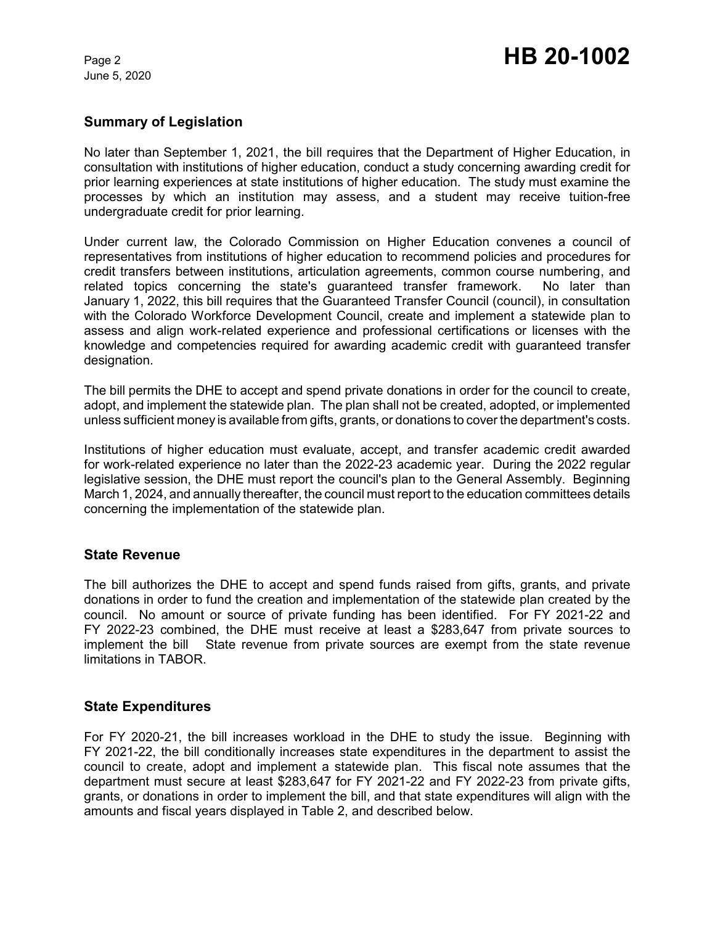June 5, 2020

### **Summary of Legislation**

No later than September 1, 2021, the bill requires that the Department of Higher Education, in consultation with institutions of higher education, conduct a study concerning awarding credit for prior learning experiences at state institutions of higher education. The study must examine the processes by which an institution may assess, and a student may receive tuition-free undergraduate credit for prior learning.

Under current law, the Colorado Commission on Higher Education convenes a council of representatives from institutions of higher education to recommend policies and procedures for credit transfers between institutions, articulation agreements, common course numbering, and related topics concerning the state's guaranteed transfer framework. No later than January 1, 2022, this bill requires that the Guaranteed Transfer Council (council), in consultation with the Colorado Workforce Development Council, create and implement a statewide plan to assess and align work-related experience and professional certifications or licenses with the knowledge and competencies required for awarding academic credit with guaranteed transfer designation.

The bill permits the DHE to accept and spend private donations in order for the council to create, adopt, and implement the statewide plan. The plan shall not be created, adopted, or implemented unless sufficient money is available from gifts, grants, or donations to cover the department's costs.

Institutions of higher education must evaluate, accept, and transfer academic credit awarded for work-related experience no later than the 2022-23 academic year. During the 2022 regular legislative session, the DHE must report the council's plan to the General Assembly. Beginning March 1, 2024, and annually thereafter, the council must report to the education committees details concerning the implementation of the statewide plan.

### **State Revenue**

The bill authorizes the DHE to accept and spend funds raised from gifts, grants, and private donations in order to fund the creation and implementation of the statewide plan created by the council. No amount or source of private funding has been identified. For FY 2021-22 and FY 2022-23 combined, the DHE must receive at least a \$283,647 from private sources to implement the bill State revenue from private sources are exempt from the state revenue limitations in TABOR.

### **State Expenditures**

For FY 2020-21, the bill increases workload in the DHE to study the issue. Beginning with FY 2021-22, the bill conditionally increases state expenditures in the department to assist the council to create, adopt and implement a statewide plan. This fiscal note assumes that the department must secure at least \$283,647 for FY 2021-22 and FY 2022-23 from private gifts, grants, or donations in order to implement the bill, and that state expenditures will align with the amounts and fiscal years displayed in Table 2, and described below.